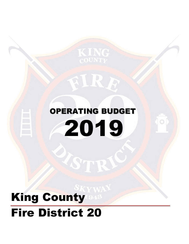

# 2019 OPERATING BUDGET

# King County Fire District 20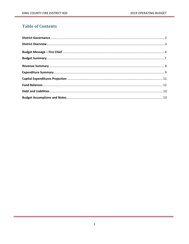### **Table of Contents**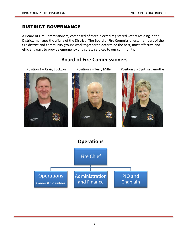### DISTRICT GOVERNANCE

A Board of Fire Commissioners, composed of three elected registered voters residing in the District, manages the affairs of the District. The Board of Fire Commissioners, members of the fire district and community groups work together to determine the best, most effective and efficient ways to provide emergency and safety services to our community.

## **Board of Fire Commissioners**





Position 1 – Craig Buckton Position 2 - Terry Miller Position 3 - Cynthia Lamothe



**Operations**

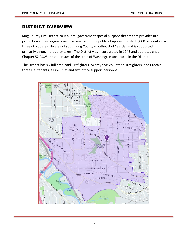## DISTRICT OVERVIEW

King County Fire District 20 is a local government special purpose district that provides fire protection and emergency medical services to the public of approximately 16,000 residents in a three (3) square mile area of south King County (southeast of Seattle) and is supported primarily through property taxes. The District was incorporated in 1943 and operates under Chapter 52 RCW and other laws of the state of Washington applicable in the District.

The District has six full time paid Firefighters, twenty-five Volunteer Firefighters, one Captain, three Lieutenants, a Fire Chief and two office support personnel.

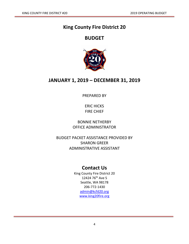# **King County Fire District 20**

## **BUDGET**



# **JANUARY 1, 2019 – DECEMBER 31, 2019**

PREPARED BY

ERIC HICKS FIRE CHIEF

BONNIE NETHERBY OFFICE ADMINISTRATOR

BUDGET PACKET ASSISTANCE PROVIDED BY SHARON GREER ADMINISTRATIVE ASSISTANT

# **Contact Us**

King County Fire District 20 12424 76th Ave S Seattle, WA 98178 206-772-1430 [admin@kcfd20.org](mailto:admin@kcfd20.org) [www.king20fire.org](http://www.king20fire.org/)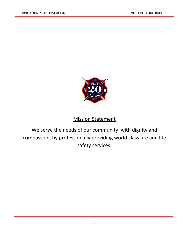

# **Mission Statement**

We serve the needs of our community, with dignity and compassion, by professionally providing world class fire and life safety services.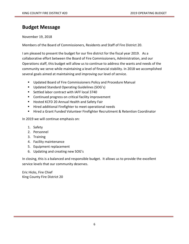# **Budget Message**

November 19, 2018

Members of the Board of Commissioners, Residents and Staff of Fire District 20.

I am pleased to present the budget for our fire district for the fiscal year 2019. As a collaborative effort between the Board of Fire Commissioners, Administration, and our Operations staff, this budget will allow us to continue to address the wants and needs of the community we serve while maintaining a level of financial stability. In 2018 we accomplished several goals aimed at maintaining and improving our level of service.

- Updated Board of Fire Commissioners Policy and Procedure Manual
- Updated Standard Operating Guidelines (SOG's)
- Settled labor contract with IAFF local 3740
- **EXECONTERGY CONTINUES ON CRYTE CONTINUES CONTINUES CONTINUES CONTINUES CONTINUES CONTINUES CONTINUES CONTINUES**
- **Hosted KCFD 20 Annual Health and Safety Fair**
- Hired additional Firefighter to meet operational needs
- **Hired a Grant Funded Volunteer Firefighter Recruitment & Retention Coordinator**

In 2019 we will continue emphasis on:

- 1. Safety
- 2. Personnel
- 3. Training
- 4. Facility maintenance
- 5. Equipment replacement
- 6. Updating and creating new SOG's

In closing, this is a balanced and responsible budget. It allows us to provide the excellent service levels that our community deserves.

Eric Hicks, Fire Chief King County Fire District 20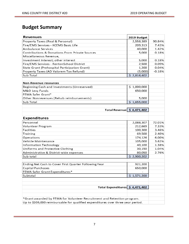# **Budget Summary**

| <b>Revenues</b>                                                                 | 2019 Budget |          |  |  |  |
|---------------------------------------------------------------------------------|-------------|----------|--|--|--|
| Property Taxes (Real & Personal)                                                | 2,558,389   | 90.84%   |  |  |  |
| Fire/EMS Services - KCEMS Basic Life                                            | 209,313     | 7.43%    |  |  |  |
| Ambulance Services                                                              | 40,000      | 1.42%    |  |  |  |
| Contributions & Donations From Private Sources                                  | 5,000       | 0.18%    |  |  |  |
| Miscellaneous Revenue,                                                          |             |          |  |  |  |
| Investment Interest; other interest                                             | 5,000       | 0.18%    |  |  |  |
| Fire/EMS Services - RentonSchool District                                       | 2,500       | 0.09%    |  |  |  |
| State Grant (Prehospital Participation Grant)                                   | 1,200       | 0.04%    |  |  |  |
| Property Taxes (AD Valorem Tax Refund)                                          | (5,000)     | $-0.18%$ |  |  |  |
| Sub Total                                                                       | \$2,816,402 |          |  |  |  |
|                                                                                 |             |          |  |  |  |
| <b>Non-Revenue resources</b>                                                    |             |          |  |  |  |
| Beginning Cash and Investments (Unreserved)                                     | \$1,000,000 |          |  |  |  |
| M&O Levy Funds                                                                  | 650,000     |          |  |  |  |
| FEMA Safer Grant*                                                               |             |          |  |  |  |
| Other Nonrevenues (Rehab reimbursements)                                        | 5,000       |          |  |  |  |
| Sub Total                                                                       | \$1,655,000 |          |  |  |  |
|                                                                                 |             |          |  |  |  |
| Total Revenue \$4,471,402                                                       |             |          |  |  |  |
| <b>Expenditures</b>                                                             |             |          |  |  |  |
| Personnel                                                                       | 2,088,307   | 72.01%   |  |  |  |
| Volunteer Program                                                               | 212,669     | 7.33%    |  |  |  |
| Facilities                                                                      | 100,300     | 3.46%    |  |  |  |
| Training                                                                        | 69,500      | 2.40%    |  |  |  |
| Operations                                                                      | 174,126     | 6.00%    |  |  |  |
| Vehicle Maintenance                                                             | 105,000     | 3.62%    |  |  |  |
| Information Technology                                                          | 40,100      | 1.38%    |  |  |  |
| Uniforms and Protective Clothing                                                | 30,150      | 1.04%    |  |  |  |
| Administrative & District-wide expenses                                         | 80,050      | 2.76%    |  |  |  |
| Sub total                                                                       | \$2,900,202 |          |  |  |  |
|                                                                                 |             |          |  |  |  |
| Ending Net Cash to Cover First Quarter Following Year                           | 921,200     |          |  |  |  |
| Capital Purchases                                                               | 650,000     |          |  |  |  |
| FEMA Safer Grant Expenditures*                                                  |             |          |  |  |  |
| Subtotal                                                                        | \$1,571,200 |          |  |  |  |
|                                                                                 |             |          |  |  |  |
|                                                                                 |             |          |  |  |  |
| Total Expenditures $\frac{1}{2}$ 4,471,402                                      |             |          |  |  |  |
|                                                                                 |             |          |  |  |  |
|                                                                                 |             |          |  |  |  |
| *Grant awarded by FEMA for Volunteer Recruitment and Retention program.         |             |          |  |  |  |
| Up to \$209,000 reimbursable for qualified expenditures over three year period. |             |          |  |  |  |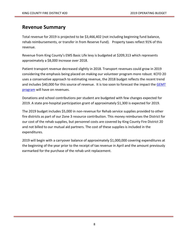# **Revenue Summary**

Total revenue for 2019 is projected to be \$3,466,402 (not including beginning fund balance, rehab reimbursements, or transfer in from Reserve Fund). Property taxes reflect 91% of this revenue.

Revenue from King County's EMS Basic Life levy is budgeted at \$209,313 which represents approximately a \$8,000 increase over 2018.

Patient transport revenue decreased slightly in 2018. Transport revenues could grow in 2019 considering the emphasis being placed on making our volunteer program more robust. KCFD 20 uses a conservative approach to estimating revenue, the 2018 budget reflects the recent trend and includes \$40,000 for this source of revenue. It is too soon to forecast the impact the GEMT [program](https://www.hca.wa.gov/billers-providers-partners/programs-and-services/ground-emergency-medical-transportation-gemt) will have on revenues.

Donations and school contributions per student are budgeted with few changes expected for 2019. A state pre-hospital participation grant of approximately \$1,300 is expected for 2019.

The 2019 budget includes \$5,000 in non-revenue for Rehab service supplies provided to other fire districts as part of our Zone 3 resource contribution. This money reimburses the District for our cost of the rehab supplies, but personnel costs are covered by King County Fire District 20 and not billed to our mutual aid partners. The cost of these supplies is included in the expenditures.

2019 will begin with a carryover balance of approximately \$1,000,000 covering expenditures at the beginning of the year prior to the receipt of tax revenue in April and the amount previously earmarked for the purchase of the rehab unit replacement.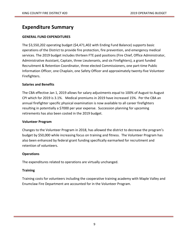# **Expenditure Summary**

#### **GENERAL FUND EXPENDITURES**

The \$3,550,202 operating budget (\$4,471,402 with Ending Fund Balance) supports basic operations of the District to provide fire protection, fire prevention, and emergency medical services. The 2019 budget includes thirteen FTE paid positions (Fire Chief, Office Administrator, Administrative Assistant, Captain, three Lieutenants, and six Firefighters), a grant funded Recruitment & Retention Coordinator, three elected Commissioners, one part-time Public Information Officer, one Chaplain, one Safety Officer and approximately twenty-five Volunteer Firefighters.

#### **Salaries and Benefits**

The CBA effective Jan 1, 2019 allows for salary adjustments equal to 100% of August to August CPI which for 2019 is 3.1%. Medical premiums in 2019 have increased 15%. Per the CBA an annual firefighter specific physical examination is now available to all career firefighters resulting in potentially a \$7000 per year expense. Succession planning for upcoming retirements has also been costed in the 2019 budget.

#### **Volunteer Program**

Changes to the Volunteer Program in 2018, has allowed the district to decrease the program's budget by \$50,000 while increasing focus on training and fitness. The Volunteer Program has also been enhanced by federal grant funding specifically earmarked for recruitment and retention of volunteers.

#### **Operations**

The expenditures related to operations are virtually unchanged.

#### **Training**

Training costs for volunteers including the cooperative training academy with Maple Valley and Enumclaw Fire Department are accounted for in the Volunteer Program.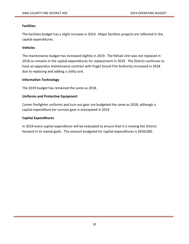#### **Facilities**

The facilities budget has a slight increase in 2019. Major facilities projects are reflected in the capital expenditures.

#### **Vehicles**

The maintenance budget has increased slightly in 2019. The Rehab Unit was not replaced in 2018 so remains in the capital expenditures for replacement in 2019. The District continues to have an apparatus maintenance contract with Puget Sound Fire Authority increased in 2018 due to replacing and adding a utility unit.

#### **Information Technology**

The 2019 budget has remained the same as 2018.

#### **Uniforms and Protective Equipment**

Career firefighter uniforms and turn out gear are budgeted the same as 2018; although a capital expenditure for turnout gear is anticipated in 2019

#### **Capital Expenditures**

In 2019 every capital expenditure will be evaluated to ensure that it is moving the District forward in its stated goals. The amount budgeted for capital expenditures is \$650,000.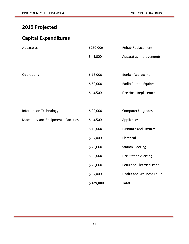# **2019 Projected**

# **Capital Expenditures**

| \$5,000   | Health and Wellness Equip.        |
|-----------|-----------------------------------|
| \$20,000  | <b>Refurbish Electrical Panel</b> |
| \$20,000  | <b>Fire Station Alerting</b>      |
| \$20,000  | <b>Station Flooring</b>           |
| \$5,000   | Electrical                        |
| \$10,000  | <b>Furniture and Fixtures</b>     |
| \$3,500   | Appliances                        |
| \$20,000  | <b>Computer Upgrades</b>          |
|           |                                   |
|           | Fire Hose Replacement             |
|           | Radio Comm. Equipment             |
| \$18,000  | <b>Bunker Replacement</b>         |
| \$4,000   | Apparatus Improvements            |
| \$250,000 | Rehab Replacement                 |
|           | \$50,000<br>\$3,500               |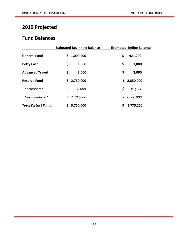# **2019 Projected**

# **Fund Balances**

|                             | <b>Estimated Beginning Balance</b> |             | <b>Estimated Ending Balance</b> |  |
|-----------------------------|------------------------------------|-------------|---------------------------------|--|
| <b>General Fund</b>         | \$                                 | 1,000,000   | \$<br>921,200                   |  |
| <b>Petty Cash</b>           | \$                                 | 1,000       | \$<br>1,000                     |  |
| <b>Advanced Travel</b>      | \$                                 | 3,000       | \$<br>3,000                     |  |
| <b>Reserve Fund</b>         |                                    | \$2,750,000 | \$2,850,000                     |  |
| Encumbered                  | \$                                 | 350,000     | \$<br>350,000                   |  |
| <b>Unencumbered</b>         |                                    | \$2,400,000 | \$2,500,000                     |  |
| <b>Total District Funds</b> | \$                                 | 3,750,000   | \$<br>3,775,200                 |  |